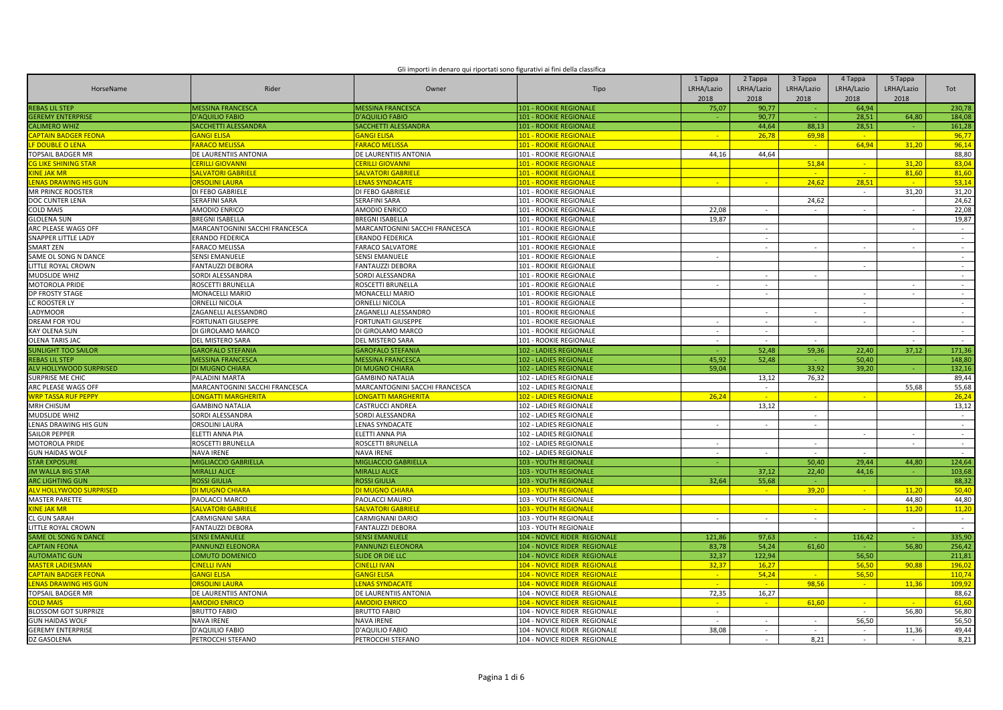| Gli importi in denaro qui riportati sono figurativi ai fini della classifica |  |  |
|------------------------------------------------------------------------------|--|--|
|                                                                              |  |  |
|                                                                              |  |  |

| HorseName                        | Rider                          | Owner                          | Tipo                                | 1 Tappa<br>LRHA/Lazio<br>2018 | 2 Tappa<br>LRHA/Lazio<br>2018 | 3 Tappa<br>LRHA/Lazio<br>2018 | 4 Tappa<br>LRHA/Lazio<br>2018 | 5 Tappa<br>LRHA/Lazio<br>2018 | Tot            |
|----------------------------------|--------------------------------|--------------------------------|-------------------------------------|-------------------------------|-------------------------------|-------------------------------|-------------------------------|-------------------------------|----------------|
| <b>REBAS LIL STEP</b>            | <b>MESSINA FRANCESCA</b>       | <b>MESSINA FRANCESCA</b>       | <b>101 - ROOKIE REGIONALE</b>       | 75,07                         | 90,77                         |                               | 64,94                         |                               | 230,78         |
| <b>GEREMY ENTERPRISE</b>         | <b>D'AQUILIO FABIO</b>         | <b>D'AQUILIO FABIO</b>         | <b>101 - ROOKIE REGIONALE</b>       |                               | 90,77                         |                               | 28,51                         | 64,80                         | 184,08         |
| <b>CALIMERO WHIZ</b>             | SACCHETTI ALESSANDRA           | SACCHETTI ALESSANDRA           | <b>101 - ROOKIE REGIONALE</b>       |                               | 44.64                         | 88,13                         | 28,51                         |                               | 161,28         |
| <mark>APTAIN BADGER FEONA</mark> | <b>GANGI ELISA</b>             | <b>GANGI ELISA</b>             | <b>101 - ROOKIE REGIONALE</b>       |                               | 26,78                         | 69,98                         | $\sim$                        |                               | 96,77          |
| <mark>F DOUBLE O LENA</mark>     | <b>FARACO MELISSA</b>          | <b>ARACO MELISSA</b>           | <b>101 - ROOKIE REGIONALE</b>       |                               |                               | $\sim$                        | 64,94                         | 31,20                         | 96,14          |
| <b>TOPSAIL BADGER MR</b>         | DE LAURENTIIS ANTONIA          | DE LAURENTIIS ANTONIA          | 101 - ROOKIE REGIONALE              | 44,16                         | 44,64                         |                               |                               |                               | 88,80          |
| <b>CG LIKE SHINING STAR</b>      | <mark>CERILLI GIOVANNI</mark>  | <b>CERILLI GIOVANNI</b>        | <u> 101 - ROOKIE REGIONALE</u>      |                               |                               | 51,84                         | <b>Card</b>                   | 31,20                         | 83,04          |
| <b>INE JAK MR</b>                | SALVATORI GABRIELE             | <b>ALVATORI GABRIELE</b>       | <b>101 - ROOKIE REGIONALE</b>       |                               |                               | $\sim$                        | $\mathcal{L}^{\mathcal{A}}$   | 81,60                         | 81,60          |
| <b>LENAS DRAWING HIS GUN</b>     | <mark>ORSOLINI LAURA</mark>    | <b>LENAS SYNDACATE</b>         | <b>101 - ROOKIE REGIONALE</b>       | n.                            | n.                            | 24.62                         | 28.51                         | na l                          | 53.14          |
| <b>MR PRINCE ROOSTER</b>         | DI FEBO GABRIELE               | DI FEBO GABRIELE               | 101 - ROOKIE REGIONALE              |                               |                               |                               | $\sim$                        | 31,20                         | 31,20          |
| DOC CUNTER LENA                  | SERAFINI SARA                  | <b>SERAFINI SARA</b>           | 101 - ROOKIE REGIONALE              |                               |                               | 24,62                         |                               |                               | 24,62          |
| <b>COLD MAIS</b>                 | AMODIO ENRICO                  | <b>AMODIO ENRICO</b>           | 101 - ROOKIE REGIONALE              | 22,08                         |                               |                               |                               |                               | 22,08          |
| <b>GLOLENA SUN</b>               | <b>BREGNI ISABELLA</b>         | <b>BREGNI ISABELLA</b>         | 101 - ROOKIE REGIONALE              | 19.87                         |                               |                               |                               |                               | 19.87          |
| ARC PLEASE WAGS OFF              | MARCANTOGNINI SACCHI FRANCESCA | MARCANTOGNINI SACCHI FRANCESCA | 101 - ROOKIE REGIONALE              |                               |                               |                               |                               |                               | $\sim$         |
| SNAPPER LITTLE LADY              | ERANDO FEDERICA                | <b>ERANDO FEDERICA</b>         | 101 - ROOKIE REGIONALE              |                               | $\sim$                        |                               |                               |                               | $\sim$         |
| <b>SMART ZEN</b>                 | <b>FARACO MELISSA</b>          | <b>FARACO SALVATORE</b>        | 101 - ROOKIE REGIONALE              |                               | ÷.                            | $\sim$                        | $\sim$                        |                               | $\sim$         |
| SAME OL SONG N DANCE             | SENSI EMANUELE                 | <b>SENSI EMANUELE</b>          | 101 - ROOKIE REGIONALE              | $\overline{\phantom{a}}$      |                               |                               |                               |                               | $\sim$         |
| LITTLE ROYAL CROWN               | FANTAUZZI DEBORA               | <b>FANTAUZZI DEBORA</b>        | 101 - ROOKIE REGIONALE              |                               |                               |                               | $\sim$                        |                               | $\sim$         |
| <b>MUDSLIDE WHIZ</b>             | SORDI ALESSANDRA               | SORDI ALESSANDRA               | 101 - ROOKIE REGIONALE              |                               |                               |                               |                               |                               | $\sim$         |
| <b>MOTOROLA PRIDE</b>            | ROSCETTI BRUNELLA              | ROSCETTI BRUNELLA              | 101 - ROOKIE REGIONALE              | $\sim$                        | $\sim$                        |                               |                               |                               | $\sim$         |
| <b>DP FROSTY STAGE</b>           | MONACELLI MARIO                | MONACELLI MARIO                | 101 - ROOKIE REGIONALE              |                               | $\sim$                        |                               |                               |                               | $\sim$         |
| LC ROOSTER LY                    | ORNELLI NICOLA                 | <b>ORNELLI NICOLA</b>          | 101 - ROOKIE REGIONALE              |                               |                               |                               | $\sim$                        |                               | $\sim$         |
| LADYMOOR                         | ZAGANELLI ALESSANDRO           | ZAGANELLI ALESSANDRO           | 101 - ROOKIE REGIONALE              |                               |                               |                               | $\sim$                        |                               | $\sim$         |
| DREAM FOR YOU                    | FORTUNATI GIUSEPPE             | FORTUNATI GIUSEPPE             | 101 - ROOKIE REGIONALE              | $\overline{\phantom{a}}$      | $\overline{\phantom{a}}$      | $\sim$                        | $\sim$                        | $\sim$                        | $\sim$         |
| <b>KAY OLENA SUN</b>             | DI GIROLAMO MARCO              | DI GIROLAMO MARCO              | 101 - ROOKIE REGIONALE              |                               | $\sim$                        |                               |                               |                               | $\sim$         |
| <b>OLENA TARIS JAC</b>           | DEL MISTERO SARA               | DEL MISTERO SARA               | 101 - ROOKIE REGIONALE              | $\sim$                        | $\sim$                        | $\sim$                        |                               | $\sim$                        | $\sim$         |
| <b>SUNLIGHT TOO SAILOR</b>       | <b>GAROFALO STEFANIA</b>       | <b>GAROFALO STEFANIA</b>       | 102 - LADIES REGIONALE              |                               | 52,48                         | 59,36                         | 22,40                         | 37,12                         | 171,36         |
| <b>REBAS LIL STEP</b>            | <b>MESSINA FRANCESCA</b>       | <b>MESSINA FRANCESCA</b>       | 102 - LADIES REGIONALE              | 45,92                         | 52,48                         |                               | 50,40                         |                               | 148,80         |
| <b>ALV HOLLYWOOD SURPRISED</b>   | <b>DI MUGNO CHIARA</b>         | <b>DI MUGNO CHIARA</b>         | 102 - LADIES REGIONALE              | 59,04                         |                               | 33.92                         | 39,20                         |                               | 132,16         |
| <b>SURPRISE ME CHIC</b>          | PALADINI MARTA                 | <b>GAMBINO NATALIA</b>         | 102 - LADIES REGIONALE              |                               | 13,12                         | 76,32                         |                               |                               | 89,44          |
| ARC PLEASE WAGS OFF              | MARCANTOGNINI SACCHI FRANCESCA | MARCANTOGNINI SACCHI FRANCESCA | 102 - LADIES REGIONALE              |                               | $\sim$                        |                               |                               | 55.68                         | 55,68          |
| <b>WRP TASSA RUF PEPPY</b>       | LONGATTI MARGHERITA            | <b>ONGATTI MARGHERITA</b>      | 102 - LADIES REGIONALE              | 26,24                         |                               |                               |                               |                               | 26,24          |
| MRH CHISUM                       | <b>GAMBINO NATALIA</b>         | CASTRUCCI ANDREA               | 102 - LADIES REGIONALE              |                               | 13,12                         |                               |                               |                               | 13,12          |
| MUDSLIDE WHIZ                    | SORDI ALESSANDRA               | SORDI ALESSANDRA               | 102 - LADIES REGIONALE              |                               |                               | $\sim$                        |                               |                               | $\sim$         |
| LENAS DRAWING HIS GUN            | ORSOLINI LAURA                 | LENAS SYNDACATE                | 102 - LADIES REGIONALE              |                               | $\sim$                        | $\sim$                        |                               |                               | $\sim$         |
| <b>SAILOR PEPPER</b>             | ELETTI ANNA PIA                | ELETTI ANNA PIA                | 102 - LADIES REGIONALE              |                               |                               |                               | ÷                             |                               | $\sim$         |
| MOTOROLA PRIDE                   | ROSCETTI BRUNELLA              | ROSCETTI BRUNELLA              | 102 - LADIES REGIONALE              | $\sim$                        |                               | $\sim$                        |                               | $\sim$                        | $\sim$         |
| <b>GUN HAIDAS WOLF</b>           | <b>NAVA IRENE</b>              | <b>NAVA IRENE</b>              | 102 - LADIES REGIONALE              | $\sim$                        | $\sim$                        | $\sim$                        | $\sim$                        |                               | $\sim 10^{-1}$ |
| <b>STAR EXPOSURE</b>             | <b>MIGLIACCIO GABRIELLA</b>    | MIGLIACCIO GABRIELLA           | <b>103 - YOUTH REGIONALE</b>        |                               |                               | 50.40                         | 29.44                         | 44.80                         | 124,64         |
| <b>JM WALLA BIG STAF</b>         | <b>MIRALLI ALICE</b>           | <b>MIRALLI ALICE</b>           | 103 - YOUTH REGIONALE               |                               | 37,12                         | 22,40                         | 44,16                         |                               | 103,68         |
| <b>ARC LIGHTING GUN</b>          | <b>ROSSI GIULIA</b>            | <b>ROSSI GIULIA</b>            | 103 - YOUTH REGIONALE               | 32,64                         | 55,68                         |                               |                               |                               | 88,32          |
| LV HOLLYWOOD SURPRISED           | DI MUGNO CHIARA                | <u>DI MUGNO CHIARA</u>         | <b>103 - YOUTH REGIONALE</b>        |                               | $\sim$                        | 39,20                         | $\sim$                        | 11,20                         | 50,40          |
| <b>MASTER PARETTE</b>            | PAOLACCI MARCO                 | PAOLACCI MAURO                 | 103 - YOUTH REGIONALE               |                               |                               |                               |                               | 44,80                         | 44,80          |
| <b>KINE JAK MR</b>               | SALVATORI GABRIEL              | SALVATORI GABRIELE             | <b>103 - YOUTH REGIONALE</b>        |                               |                               | $\sim$                        |                               | 11.20                         | 11,20          |
| <b>CL GUN SARAH</b>              | CARMIGNANI SARA                | CARMIGNANI DARIO               | 103 - YOUTH REGIONALE               |                               | ÷.                            | $\sim$                        |                               |                               | $\sim$         |
| LITTLE ROYAL CROWN               | FANTAUZZI DEBORA               | FANTAUZZI DEBORA               | 103 - YOUTH REGIONALE               |                               |                               |                               |                               | $\sim$                        | $\sim 10^{-1}$ |
| <b>SAME OL SONG N DANCE</b>      | <b>SENSI EMANUELE</b>          | <b>SENSI EMANUELE</b>          | 104 - NOVICE RIDER REGIONALE        | 121,86                        | 97,63                         |                               | 116,42                        |                               | 335,90         |
| <b>CAPTAIN FEONA</b>             | PANNUNZI ELEONORA              | <b>PANNUNZI ELEONORA</b>       | 104 - NOVICE RIDER REGIONALE        | 83,78                         | 54,24                         | 61,60                         |                               | 56,80                         | 256,42         |
| <b>AUTOMATIC GUN</b>             | LOMUTO DOMENICO                | <b>SLIDE OR DIE LLC</b>        | 104 - NOVICE RIDER REGIONALE        | 32,37                         | 122,94                        |                               | 56,50                         |                               | 211,81         |
| <b>IASTER LADIESMAN</b>          | CINELLI IVAN                   | <b>CINELLI IVAN</b>            | <b>104 - NOVICE RIDER REGIONALE</b> | 32,37                         | 16,27                         |                               | 56,50                         | 90,88                         | 196,02         |
| <b>CAPTAIN BADGER FEONA</b>      | <b>GANGI ELISA</b>             | <b>GANGI ELISA</b>             | <b>104 - NOVICE RIDER REGIONALE</b> | $\sim$                        | 54,24                         | $\sim 10^{-1}$                | 56,50                         |                               | 110,74         |
| <b>LENAS DRAWING HIS GUN</b>     | ORSOLINI LAURA                 | <b>LENAS SYNDACATE</b>         | 104 - NOVICE RIDER REGIONALE        |                               |                               | 98,56                         | $\sim$                        | 11,36                         | 109,92         |
| TOPSAIL BADGER MR                | DE LAURENTIIS ANTONIA          | DE LAURENTIIS ANTONIA          | 104 - NOVICE RIDER REGIONALE        | 72,35                         | 16,27                         |                               |                               |                               | 88,62          |
| <b>OLD MAIS</b>                  | <b>AMODIO ENRICO</b>           | <b>AMODIO ENRICO</b>           | 104 - NOVICE RIDER REGIONALE        |                               | $\sim$                        | 61,60                         | <b>Card</b>                   |                               | 61,60          |
| <b>BLOSSOM GOT SURPRIZE</b>      | <b>BRUTTO FABIO</b>            | <b>BRUTTO FABIO</b>            | 104 - NOVICE RIDER REGIONALE        | $\overline{\phantom{a}}$      |                               |                               | $\sim$                        | 56,80                         | 56,80          |
| <b>GUN HAIDAS WOLF</b>           | <b>NAVA IRENE</b>              | <b>NAVA IRENE</b>              | 104 - NOVICE RIDER REGIONALE        |                               |                               | $\sim$                        | 56,50                         |                               | 56,50          |
| <b>GEREMY ENTERPRISE</b>         | D'AQUILIO FABIO                | D'AQUILIO FABIO                | 104 - NOVICE RIDER REGIONALE        | 38,08                         | $\overline{\phantom{a}}$      | $\sim$                        | $\sim$                        | 11,36                         | 49,44          |
| DZ GASOLENA                      | PETROCCHI STEFANO              | PETROCCHI STEFANO              | 104 - NOVICE RIDER REGIONALE        |                               | $\sim$                        | 8.21                          | $\sim$                        | $\sim$                        | 8,21           |
|                                  |                                |                                |                                     |                               |                               |                               |                               |                               |                |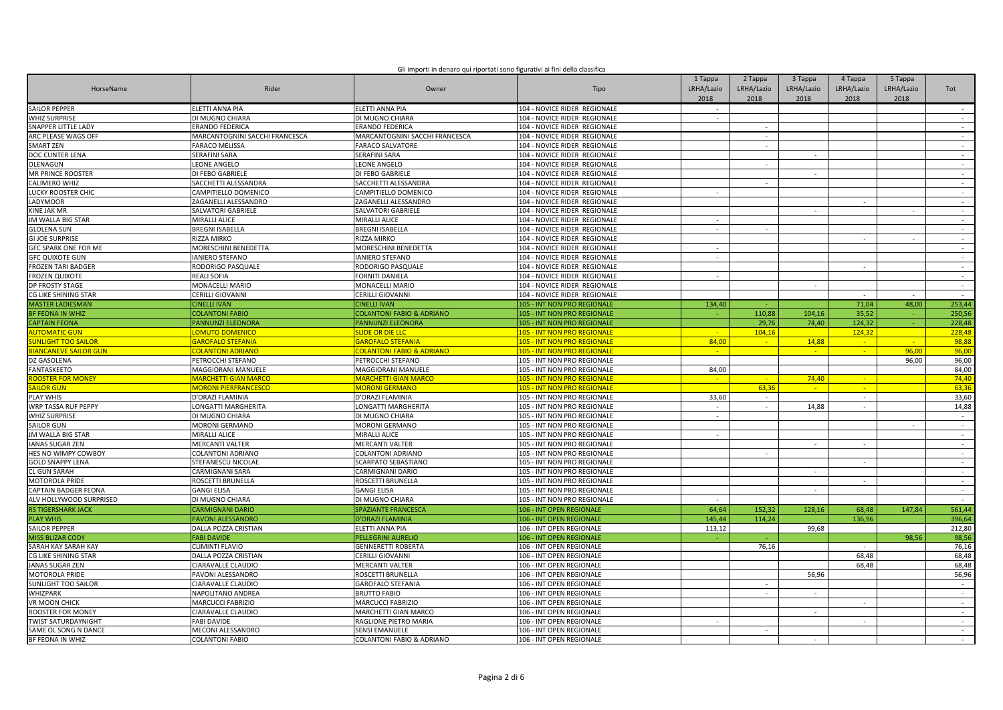| Gli importi in denaro qui riportati sono figurativi ai fini della classifica |  |  |
|------------------------------------------------------------------------------|--|--|
|                                                                              |  |  |
|                                                                              |  |  |

| HorseName                   | Rider                                    | Owner                                | Tipo                                                 | 1 Tappa<br>LRHA/Lazio<br>2018 | 2 Tappa<br>LRHA/Lazio<br>2018 | 3 Tappa<br>LRHA/Lazio<br>2018 | 4 Tappa<br>LRHA/Lazio<br>2018 | 5 Tappa<br>LRHA/Lazio<br>2018 | Tot              |
|-----------------------------|------------------------------------------|--------------------------------------|------------------------------------------------------|-------------------------------|-------------------------------|-------------------------------|-------------------------------|-------------------------------|------------------|
| <b>SAILOR PEPPER</b>        | ELETTI ANNA PIA                          | ELETTI ANNA PIA                      | 104 - NOVICE RIDER REGIONALE                         | $\sim$                        |                               |                               |                               |                               | $\sim$           |
| <b>WHIZ SURPRISE</b>        | DI MUGNO CHIARA                          | DI MUGNO CHIARA                      | 104 - NOVICE RIDER REGIONALE                         | $\sim$                        |                               |                               |                               |                               | $\sim$           |
| <b>SNAPPER LITTLE LADY</b>  | <b>ERANDO FEDERICA</b>                   | <b>ERANDO FEDERICA</b>               | 104 - NOVICE RIDER REGIONALE                         |                               |                               |                               |                               |                               | $\sim$           |
| ARC PLEASE WAGS OFF         | MARCANTOGNINI SACCHI FRANCESCA           | MARCANTOGNINI SACCHI FRANCESCA       | 104 - NOVICE RIDER REGIONALE                         |                               | $\sim$                        |                               |                               |                               | $\sim$           |
| SMART ZEN                   | FARACO MELISSA                           | <b>FARACO SALVATORE</b>              | 104 - NOVICE RIDER REGIONALE                         |                               | $\sim$                        |                               |                               |                               | $\sim$           |
| DOC CUNTER LENA             | <b>SERAFINI SARA</b>                     | SERAFINI SARA                        | 104 - NOVICE RIDER REGIONALE                         |                               |                               | $\sim$                        |                               |                               | $\sim$           |
| OLENAGUN                    | LEONE ANGELO                             | LEONE ANGELO                         | 104 - NOVICE RIDER REGIONALE                         |                               |                               |                               |                               |                               | $\sim$           |
| <b>MR PRINCE ROOSTER</b>    | DI FEBO GABRIELE                         | DI FEBO GABRIELE                     | 104 - NOVICE RIDER REGIONALE                         |                               |                               | $\sim$                        |                               |                               | $\sim$           |
| CALIMERO WHIZ               | SACCHETTI ALESSANDRA                     | SACCHETTI ALESSANDRA                 | 104 - NOVICE RIDER REGIONALE                         |                               | $\sim$                        |                               |                               |                               | $\sim$           |
| LUCKY ROOSTER CHIC          | CAMPITIELLO DOMENICO                     | CAMPITIELLO DOMENICO                 | 104 - NOVICE RIDER REGIONALE                         | $\sim$                        |                               |                               |                               |                               | $\sim$           |
| <b>ADYMOOR</b>              | ZAGANELLI ALESSANDRO                     | ZAGANELLI ALESSANDRO                 | 104 - NOVICE RIDER REGIONALE                         |                               |                               |                               | $\sim$                        |                               | $\sim$           |
| <b>INE JAK MR</b>           | SALVATORI GABRIELE                       | SALVATORI GABRIELE                   | 104 - NOVICE RIDER REGIONALE                         |                               |                               |                               |                               |                               | $\sim$           |
| IM WALLA BIG STAR           | MIRALLI ALICE                            | <b>MIRALLI ALICE</b>                 | 104 - NOVICE RIDER REGIONALE                         | $\sim$                        |                               |                               |                               |                               | $\sim$           |
| <b>GLOLENA SUN</b>          | <b>BREGNI ISABELLA</b>                   | <b>BREGNI ISABELLA</b>               | 104 - NOVICE RIDER REGIONALE                         | $\sim$                        |                               |                               |                               |                               | $\sim$           |
| <b>GI JOE SURPRISE</b>      | RIZZA MIRKO                              | RIZZA MIRKO                          | 104 - NOVICE RIDER REGIONALE                         |                               |                               |                               | $\sim$                        | $\sim$                        | $\sim$           |
| <b>GFC SPARK ONE FOR ME</b> | MORESCHINI BENEDETTA                     | MORESCHINI BENEDETTA                 | 104 - NOVICE RIDER REGIONALE                         | $\sim$                        |                               |                               |                               |                               | $\sim$           |
| <b>GFC QUIXOTE GUN</b>      | <b>IANIERO STEFANO</b>                   | <b>ANIERO STEFANO</b>                | 104 - NOVICE RIDER REGIONALE                         | $\overline{\phantom{a}}$      |                               |                               |                               |                               | $\sim$           |
| <b>FROZEN TARI BADGER</b>   | RODORIGO PASQUALE                        | RODORIGO PASQUALE                    | 104 - NOVICE RIDER REGIONALE                         |                               |                               |                               | ÷.                            |                               | $\sim$           |
| FROZEN QUIXOTE              | REALI SOFIA                              | FORNITI DANIELA                      | 104 - NOVICE RIDER REGIONALE                         | $\sim$                        |                               |                               |                               |                               | $\sim$           |
| DP FROSTY STAGE             | MONACELLI MARIO                          | MONACELLI MARIO                      | 104 - NOVICE RIDER REGIONALE                         |                               |                               | $\sim$                        |                               |                               | $\sim$           |
| G LIKE SHINING STAR         | CERILLI GIOVANNI                         | CERILLI GIOVANNI                     | 104 - NOVICE RIDER REGIONALE                         |                               |                               |                               |                               |                               | $\sim$           |
| <b>MASTER LADIESMAN</b>     | <b>CINELLI IVAN</b>                      | <b>CINELLI IVAN</b>                  | 105 - INT NON PRO REGIONALE                          | 134,40                        |                               |                               | 71,04                         | 48.00                         | 253,44           |
| <b>BF FEONA IN WHIZ</b>     | <b>COLANTONI FABIO</b>                   | <b>COLANTONI FABIO &amp; ADRIANO</b> | 105 - INT NON PRO REGIONALE                          |                               | 110,88                        | 104,16                        | 35,52                         |                               | 250,56           |
| <b>CAPTAIN FEONA</b>        | <b>PANNUNZI ELEONORA</b>                 | <b>PANNUNZI ELEONORA</b>             | 105 - INT NON PRO REGIONALE                          |                               | 29.76                         | 74,40                         | 124,32                        | A.                            | 228,48           |
| <b>UTOMATIC GUN</b>         | OMUTO DOMENICO                           | <b>SLIDE OR DIE LLC</b>              | <b>105 - INT NON PRO REGIONALE</b>                   |                               | 104,16                        |                               | 124,32                        |                               | 228,48           |
| <b>UNLIGHT TOO SAILOR</b>   | <b>GAROFALO STEFANIA</b>                 | <b>GAROFALO STEFANIA</b>             | 105 - INT NON PRO REGIONALE                          | 84,00                         | $\sim$                        | 14,88                         | $\sim$                        | <b>Call</b>                   | 98,88            |
| <b>IANCANEVE SAILOR GUN</b> | <b>COLANTONI ADRIANO</b>                 | <b>COLANTONI FABIO &amp; ADRIANO</b> | 105 - INT NON PRO REGIONALE                          | ×.                            |                               | $\sim$                        | $\omega$                      | 96,00                         | 96,00            |
| DZ GASOLENA                 | PETROCCHI STEFANO                        | PETROCCHI STEFANO                    | 105 - INT NON PRO REGIONALE                          |                               |                               |                               |                               | 96,00                         | 96,00            |
| FANTASKEETO                 | MAGGIORANI MANUELE                       | MAGGIORANI MANUELE                   | 105 - INT NON PRO REGIONALE                          | 84,00                         |                               |                               |                               |                               | 84,00            |
| OOSTER FOR MONEY            | <mark>MARCHETTI GIAN MARCC</mark>        | MARCHETTI GIAN MARCC                 | 105 - INT NON PRO REGIONALE                          |                               |                               | 74,40                         | <b>Section</b>                |                               | 74,40            |
| <b>AILOR GUN</b>            | <b>MORONI PIERFRANCESCO</b>              | <b>MORONI GERMANO</b>                | 105 - INT NON PRO REGIONALE                          |                               | 63,36                         | $\sim$                        | $\sim$                        |                               | 63,36            |
| <b>PLAY WHIS</b>            | D'ORAZI FLAMINIA                         | D'ORAZI FLAMINIA                     | 105 - INT NON PRO REGIONALE                          | 33,60                         | $\sim$                        |                               | $\sim$                        |                               | 33,60            |
| WRP TASSA RUF PEPPY         | LONGATTI MARGHERITA                      | LONGATTI MARGHERITA                  | 105 - INT NON PRO REGIONALE                          | $\sim$                        | $\sim$                        | 14,88                         | $\sim$                        |                               | 14,88            |
| WHIZ SURPRISE               | DI MUGNO CHIARA                          | DI MUGNO CHIARA                      | 105 - INT NON PRO REGIONALE                          |                               |                               |                               |                               |                               | $\sim$           |
| <b>SAILOR GUN</b>           | <b>MORONI GERMANO</b>                    | <b>MORONI GERMANO</b>                | 105 - INT NON PRO REGIONALE                          |                               |                               |                               |                               |                               | $\sim$           |
| IM WALLA BIG STAR           | MIRALLI ALICE                            | MIRALLI ALICE                        | 105 - INT NON PRO REGIONALE                          |                               |                               |                               |                               |                               | $\sim$           |
| ANAS SUGAR ZEN              | <b>MERCANTI VALTER</b>                   | MERCANTI VALTER                      | 105 - INT NON PRO REGIONALE                          |                               |                               | $\sim$                        | $\sim$                        |                               | $\sim$           |
| HES NO WIMPY COWBOY         | COLANTONI ADRIANO                        | COLANTONI ADRIANO                    | 105 - INT NON PRO REGIONALE                          |                               |                               |                               |                               |                               | $\sim$           |
| <b>GOLD SNAPPY LENA</b>     | STEFANESCU NICOLAE                       | <b>CARPATO SEBASTIANO</b>            | 105 - INT NON PRO REGIONALE                          |                               |                               |                               | $\sim$                        |                               | $\sim$           |
| <b>CL GUN SARAH</b>         | CARMIGNANI SARA                          | CARMIGNANI DARIO                     | 105 - INT NON PRO REGIONALE                          |                               |                               | $\sim$                        |                               |                               | $\sim$           |
| <b>MOTOROLA PRIDE</b>       | ROSCETTI BRUNELLA                        | ROSCETTI BRUNELLA                    | 105 - INT NON PRO REGIONALE                          |                               |                               |                               | $\sim$                        |                               | $\sim$           |
| CAPTAIN BADGER FEONA        | <b>GANGI ELISA</b>                       | <b>GANGI ELISA</b>                   | 105 - INT NON PRO REGIONALE                          |                               |                               | $\sim$                        |                               |                               | $\sim$           |
| ALV HOLLYWOOD SURPRISED     | DI MUGNO CHIARA                          | DI MUGNO CHIARA                      | 105 - INT NON PRO REGIONALE                          |                               |                               |                               |                               |                               | $\sim$           |
| <b>RS TIGERSHARK JACK</b>   | <b>CARMIGNANI DARIO</b>                  | <b>SPAZIANTE FRANCESCA</b>           | 106 - INT OPEN REGIONALE                             | 64.64                         | 152,32                        | 128,16                        | 68,48                         | 147,84                        | 561,44           |
| <b>PLAY WHIS</b>            | PAVONI ALESSANDRO                        | D'ORAZI FLAMINIA                     | 106 - INT OPEN REGIONALE                             | 145,44                        | 114,24                        |                               | 136,96                        |                               | 396,64           |
| <b>SAILOR PEPPER</b>        | DALLA POZZA CRISTIAN                     | ELETTI ANNA PIA                      | 106 - INT OPEN REGIONALE                             | 113,12                        |                               | 99.68                         |                               |                               | 212,80           |
| <b>MISS BLIZAR CODY</b>     | <b>FABI DAVIDE</b>                       | <b>PELLEGRINI AURELIO</b>            | 106 - INT OPEN REGIONALE                             |                               |                               |                               |                               | 98,56                         | 98,56            |
| SARAH KAY SARAH KAY         | CLIMINTI FLAVIO                          | <b>GENNERETTI ROBERTA</b>            | 106 - INT OPEN REGIONALE                             |                               | 76,16                         |                               |                               |                               | 76,16            |
| G LIKE SHINING STAR         | DALLA POZZA CRISTIAN                     | CERILLI GIOVANNI                     | 106 - INT OPEN REGIONALE                             |                               |                               |                               | 68,48                         |                               | 68,48            |
| ANAS SUGAR ZEN              | CIARAVALLE CLAUDIO                       | <b>MERCANTI VALTER</b>               | 106 - INT OPEN REGIONALE                             |                               |                               |                               | 68,48                         |                               | 68,48            |
| <b>MOTOROLA PRIDE</b>       | PAVONI ALESSANDRO                        | ROSCETTI BRUNELLA                    | 106 - INT OPEN REGIONALE                             |                               |                               | 56,96                         |                               |                               | 56,96            |
| <b>SUNLIGHT TOO SAILOR</b>  | CIARAVALLE CLAUDIO                       | <b>GAROFALO STEFANIA</b>             | 106 - INT OPEN REGIONALE                             |                               | $\sim$                        |                               |                               |                               | $\sim$           |
| WHIZPARK                    | NAPOLITANO ANDREA                        | <b>BRUTTO FABIO</b>                  | 106 - INT OPEN REGIONALE                             |                               | $\sim$                        | $\sim$                        |                               |                               | $\sim$           |
| <b>VR MOON CHICK</b>        | MARCUCCI FABRIZIO                        | MARCUCCI FABRIZIO                    | 106 - INT OPEN REGIONALE                             |                               |                               |                               | $\overline{\phantom{a}}$      |                               | $\sim$           |
| <b>ROOSTER FOR MONEY</b>    |                                          | MARCHETTI GIAN MARCO                 |                                                      |                               |                               | $\sim$                        |                               |                               |                  |
| <b>WIST SATURDAYNIGHT</b>   | CIARAVALLE CLAUDIO<br><b>FABI DAVIDE</b> | RAGLIONE PIETRO MARIA                | 106 - INT OPEN REGIONALE<br>106 - INT OPEN REGIONALE |                               |                               |                               |                               |                               | $\sim$<br>$\sim$ |
| SAME OL SONG N DANCE        | MECONI ALESSANDRO                        | <b>SENSI EMANUELE</b>                | 106 - INT OPEN REGIONALE                             |                               |                               |                               |                               |                               | $\sim$           |
| BF FEONA IN WHIZ            | <b>COLANTONI FABIO</b>                   | COLANTONI FABIO & ADRIANO            | 106 - INT OPEN REGIONALE                             |                               |                               |                               |                               |                               | in 19            |
|                             |                                          |                                      |                                                      |                               |                               |                               |                               |                               |                  |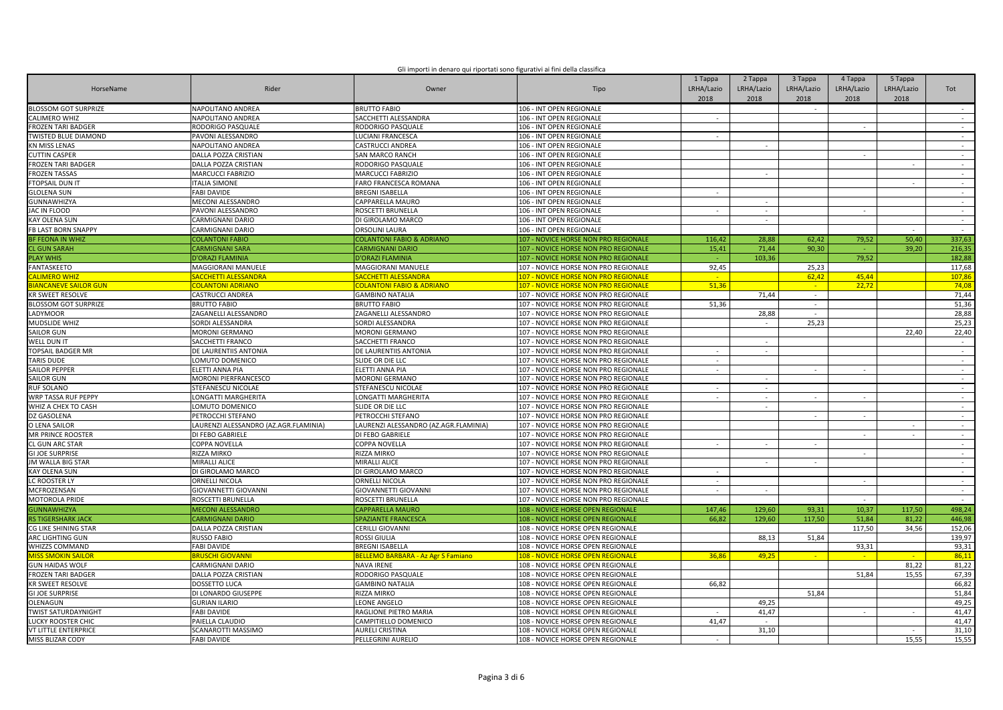| Gli importi in denaro qui riportati sono figurativi ai fini della classifica |  |  |
|------------------------------------------------------------------------------|--|--|
|                                                                              |  |  |
|                                                                              |  |  |

| HorseName                   | Rider                                 | Owner                                     | Tipo                                     | 1 Tappa<br>LRHA/Lazio<br>2018 | 2 Tappa<br>LRHA/Lazio<br>2018 | 3 Tappa<br>LRHA/Lazio<br>2018 | 4 Tappa<br>LRHA/Lazio<br>2018 | 5 Tappa<br>LRHA/Lazio<br>2018 | Tot             |
|-----------------------------|---------------------------------------|-------------------------------------------|------------------------------------------|-------------------------------|-------------------------------|-------------------------------|-------------------------------|-------------------------------|-----------------|
| <b>BLOSSOM GOT SURPRIZE</b> | NAPOLITANO ANDREA                     | <b>BRUTTO FABIO</b>                       | 106 - INT OPEN REGIONALE                 |                               |                               | $\sim$                        |                               |                               | $\sim$          |
| <b>CALIMERO WHIZ</b>        | NAPOLITANO ANDREA                     | SACCHETTI ALESSANDRA                      | 106 - INT OPEN REGIONALE                 | $\sim$                        |                               |                               |                               |                               | $\sim$          |
| <b>FROZEN TARI BADGER</b>   | RODORIGO PASQUALE                     | RODORIGO PASQUALE                         | 106 - INT OPEN REGIONALE                 |                               |                               |                               |                               |                               | $\sim$          |
| <b>TWISTED BLUE DIAMOND</b> | PAVONI ALESSANDRO                     | LUCIANI FRANCESCA                         | 106 - INT OPEN REGIONALE                 | $\sim$                        |                               |                               |                               |                               | $\sim$          |
| <b>KN MISS LENAS</b>        | NAPOLITANO ANDREA                     | <b>CASTRUCCI ANDREA</b>                   | 106 - INT OPEN REGIONALE                 |                               |                               |                               |                               |                               | $\sim$          |
| <b>CUTTIN CASPER</b>        | DALLA POZZA CRISTIAN                  | <b>SAN MARCO RANCH</b>                    | 106 - INT OPEN REGIONALE                 |                               |                               |                               |                               |                               | $\sim$          |
| ROZEN TARI BADGER           | DALLA POZZA CRISTIAN                  | RODORIGO PASQUALE                         | 106 - INT OPEN REGIONALE                 |                               |                               |                               |                               |                               | $\sim$          |
| <b>FROZEN TASSAS</b>        | MARCUCCI FABRIZIO                     | MARCUCCI FABRIZIO                         | 106 - INT OPEN REGIONALE                 |                               | $\sim$                        |                               |                               |                               | $\sim$          |
| FTOPSAIL DUN IT             | <b>ITALIA SIMONE</b>                  | FARO FRANCESCA ROMANA                     | 106 - INT OPEN REGIONALE                 |                               |                               |                               |                               |                               | $\sim$          |
| <b>GLOLENA SUN</b>          | <b>FABI DAVIDE</b>                    | <b>BREGNI ISABELLA</b>                    | 106 - INT OPEN REGIONALE                 | $\sim$                        |                               |                               |                               |                               | $\sim$          |
| <b>GUNNAWHIZYA</b>          | <b>MECONI ALESSANDRO</b>              | CAPPARELLA MAURO                          | 106 - INT OPEN REGIONALE                 |                               | $\sim$                        |                               |                               |                               | $\sim$          |
| AC IN FLOOD                 | PAVONI ALESSANDRO                     | ROSCETTI BRUNELLA                         | 106 - INT OPEN REGIONALE                 |                               | $\sim$                        |                               |                               |                               | $\sim$          |
| <b>KAY OLENA SUN</b>        | CARMIGNANI DARIO                      | DI GIROLAMO MARCO                         | 106 - INT OPEN REGIONALE                 |                               | $\sim$                        |                               |                               |                               | $\sim$          |
| <b>FB LAST BORN SNAPPY</b>  | <b>CARMIGNANI DARIO</b>               | <b>ORSOLINI LAURA</b>                     | 106 - INT OPEN REGIONALE                 |                               |                               |                               |                               |                               |                 |
| <b>BF FEONA IN WHIZ</b>     | <b>COLANTONI FABIO</b>                | <b>COLANTONI FABIO &amp; ADRIANO</b>      | 107 - NOVICE HORSE NON PRO REGIONALE     | 116,42                        | 28,88                         | 62,42                         | 79,52                         | 50,40                         | 337,63          |
| <b>CL GUN SARAH</b>         | <b>CARMIGNANI SARA</b>                | <b>CARMIGNANI DARIO</b>                   | 107 - NOVICE HORSE NON PRO REGIONALE     | 15,41                         | 71,44                         | 90,30                         |                               | 39,20                         | 216,35          |
|                             |                                       |                                           |                                          |                               | 103,36                        |                               | 79,52                         |                               | 182,88          |
| <b>PLAY WHIS</b>            | <b>D'ORAZI FLAMINIA</b>               | <b>D'ORAZI FLAMINIA</b>                   | 107 - NOVICE HORSE NON PRO REGIONALE     |                               |                               |                               |                               |                               |                 |
| <b>FANTASKEETO</b>          | MAGGIORANI MANUELE                    | <b>MAGGIORANI MANUELE</b>                 | 107 - NOVICE HORSE NON PRO REGIONALE     | 92,45                         |                               | 25,23                         |                               |                               | 117,68          |
| <b>ALIMERO WHIZ</b>         | SACCHETTI ALESSANDRA                  | SACCHETTI ALESSANDRA                      | 107 - NOVICE HORSE NON PRO REGIONALE     |                               |                               | 62,42<br>$\sim$               | 45,44                         |                               | 107,86<br>74,08 |
| <b>IANCANEVE SAILOR GUN</b> | <b>COLANTONI ADRIANO</b>              | <b>COLANTONI FABIO &amp; ADRIANO</b>      | 107 - NOVICE HORSE NON PRO REGIONALE     | 51,36                         |                               |                               | 22,72                         |                               |                 |
| <b>KR SWEET RESOLVE</b>     | CASTRUCCI ANDREA                      | <b>GAMBINO NATALIA</b>                    | 107 - NOVICE HORSE NON PRO REGIONALE     |                               | 71,44                         | $\sim$                        |                               |                               | 71,44           |
| BLOSSOM GOT SURPRIZE        | <b>BRUTTO FABIO</b>                   | <b>BRUTTO FABIO</b>                       | 107 - NOVICE HORSE NON PRO REGIONALE     | 51,36                         |                               | $\sim$                        |                               |                               | 51,36           |
| ADYMOOR                     | ZAGANELLI ALESSANDRO                  | ZAGANELLI ALESSANDRO                      | 107 - NOVICE HORSE NON PRO REGIONALE     |                               | 28,88                         |                               |                               |                               | 28,88           |
| MUDSLIDE WHIZ               | SORDI ALESSANDRA                      | SORDI ALESSANDRA                          | 107 - NOVICE HORSE NON PRO REGIONALE     |                               | $\sim$                        | 25.23                         |                               |                               | 25.23           |
| SAILOR GUN                  | MORONI GERMANO                        | <b>MORONI GERMANO</b>                     | 107 - NOVICE HORSE NON PRO REGIONALE     |                               |                               |                               |                               | 22,40                         | 22,40           |
| WELL DUN IT                 | SACCHETTI FRANCO                      | SACCHETTI FRANCO                          | 107 - NOVICE HORSE NON PRO REGIONALE     |                               | $\overline{\phantom{a}}$      |                               |                               |                               | $\sim$          |
| TOPSAIL BADGER MR           | DE LAURENTIIS ANTONIA                 | DE LAURENTIIS ANTONIA                     | 107 - NOVICE HORSE NON PRO REGIONALE     |                               | ÷.                            |                               |                               |                               | $\sim$          |
| TARIS DUDE                  | LOMUTO DOMENICO                       | SLIDE OR DIE LLC                          | 107 - NOVICE HORSE NON PRO REGIONALE     | $\overline{\phantom{a}}$      |                               |                               |                               |                               | $\sim$          |
| <b>SAILOR PEPPER</b>        | ELETTI ANNA PIA                       | <b>ELETTI ANNA PIA</b>                    | 107 - NOVICE HORSE NON PRO REGIONALE     |                               |                               | $\sim$                        |                               |                               | $\sim$          |
| <b>SAILOR GUN</b>           | MORONI PIERFRANCESCO                  | <b>MORONI GERMANO</b>                     | 107 - NOVICE HORSE NON PRO REGIONALE     |                               | $\sim$                        |                               |                               |                               | $\sim$          |
| <b>RUF SOLANO</b>           | STEFANESCU NICOLAE                    | STEFANESCU NICOLAE                        | 107 - NOVICE HORSE NON PRO REGIONALE     | ÷.                            | $\sim$                        |                               |                               |                               | $\sim$          |
| <b>WRP TASSA RUF PEPPY</b>  | LONGATTI MARGHERITA                   | LONGATTI MARGHERITA                       | 107 - NOVICE HORSE NON PRO REGIONALE     |                               |                               | $\overline{\phantom{a}}$      |                               |                               | $\sim$          |
| WHIZ A CHEX TO CASH         | LOMUTO DOMENICO                       | SLIDE OR DIE LLC                          | 107 - NOVICE HORSE NON PRO REGIONALE     |                               | $\sim$                        |                               |                               |                               | $\sim$          |
| Z GASOLENA                  | PETROCCHI STEFANO                     | PETROCCHI STEFANO                         | 107 - NOVICE HORSE NON PRO REGIONALE     |                               |                               |                               |                               |                               | $\sim$          |
| O LENA SAILOR               | LAURENZI ALESSANDRO (AZ.AGR.FLAMINIA) | LAURENZI ALESSANDRO (AZ.AGR.FLAMINIA)     | 107 - NOVICE HORSE NON PRO REGIONALE     |                               |                               |                               |                               |                               | $\sim$          |
| MR PRINCE ROOSTER           | DI FEBO GABRIELE                      | DI FEBO GABRIELE                          | 107 - NOVICE HORSE NON PRO REGIONALE     |                               |                               |                               |                               |                               | $\sim$          |
| <b>CL GUN ARC STAR</b>      | COPPA NOVELLA                         | COPPA NOVELLA                             | 107 - NOVICE HORSE NON PRO REGIONALE     | $\sim$                        | $\sim$                        | $\sim$                        |                               |                               | $\sim$          |
| <b>GI JOE SURPRISE</b>      | RIZZA MIRKO                           | <b>RIZZA MIRKO</b>                        | 107 - NOVICE HORSE NON PRO REGIONALE     |                               |                               |                               | $\sim$                        |                               | $\sim$          |
| <b>JM WALLA BIG STAR</b>    | MIRALLI ALICE                         | MIRALLI ALICE                             | 107 - NOVICE HORSE NON PRO REGIONALE     |                               | $\sim$                        |                               |                               |                               | $\sim$          |
| <b>KAY OLENA SUN</b>        | DI GIROLAMO MARCO                     | DI GIROLAMO MARCO                         | 107 - NOVICE HORSE NON PRO REGIONALE     |                               |                               |                               |                               |                               | $\sim$          |
| LC ROOSTER LY               | ORNELLI NICOLA                        | <b>ORNELLI NICOLA</b>                     | 107 - NOVICE HORSE NON PRO REGIONALE     |                               |                               |                               |                               |                               | $\sim$          |
| MCFROZENSAN                 | GIOVANNETTI GIOVANNI                  | <b>GIOVANNETTI GIOVANNI</b>               | 107 - NOVICE HORSE NON PRO REGIONALE     | $\sim$                        | $\sim$                        |                               |                               |                               | $\sim$          |
| <b>MOTOROLA PRIDE</b>       | ROSCETTI BRUNELLA                     | ROSCETTI BRUNELLA                         | 107 - NOVICE HORSE NON PRO REGIONALE     |                               |                               |                               |                               |                               | $\sim$          |
| <b>GUNNAWHIZYA</b>          | <b>MECONI ALESSANDRO</b>              | <b>CAPPARELLA MAURO</b>                   | 108 - NOVICE HORSE OPEN REGIONALE        | 147,46                        | 129,60                        | 93,31                         | 10.37                         | 117,50                        | 498,24          |
| <b>RS TIGERSHARK JACK</b>   | <b>CARMIGNANI DARIO</b>               | SPAZIANTE FRANCESCA                       | 108 - NOVICE HORSE OPEN REGIONALE        | 66,82                         | 129,60                        | 117,50                        | 51.84                         | 81.22                         | 446,98          |
| CG LIKE SHINING STAR        | DALLA POZZA CRISTIAN                  | <b>CERILLI GIOVANNI</b>                   | 108 - NOVICE HORSE OPEN REGIONALE        |                               |                               |                               | 117,50                        | 34,56                         | 152,06          |
| ARC LIGHTING GUN            | <b>RUSSO FABIO</b>                    | <b>ROSSI GIULIA</b>                       | 108 - NOVICE HORSE OPEN REGIONALE        |                               | 88,13                         | 51,84                         |                               |                               | 139,97          |
| WHIZZS COMMAND              | <b>FABI DAVIDE</b>                    | <b>BREGNI ISABELLA</b>                    | 108 - NOVICE HORSE OPEN REGIONALE        |                               |                               |                               | 93,31                         |                               | 93,31           |
| <b>AISS SMOKIN SAILOI</b>   | <b>BRUSCHI GIOVANNI</b>               | <b>BELLEMO BARBARA - Az Agr S Famiano</b> | <b>108 - NOVICE HORSE OPEN REGIONALE</b> | 36.8                          | 49,25                         |                               |                               |                               | 86,11           |
| <b>GUN HAIDAS WOLF</b>      | CARMIGNANI DARIO                      | <b>NAVA IRENE</b>                         | 108 - NOVICE HORSE OPEN REGIONALE        |                               |                               |                               |                               | 81,22                         | 81,22           |
| <b>FROZEN TARI BADGER</b>   | DALLA POZZA CRISTIAN                  | RODORIGO PASQUALE                         | 108 - NOVICE HORSE OPEN REGIONALE        |                               |                               |                               | 51.84                         | 15.55                         | 67,39           |
| <b>KR SWEET RESOLVE</b>     | <b>DOSSETTO LUCA</b>                  | <b>GAMBINO NATALIA</b>                    | 108 - NOVICE HORSE OPEN REGIONALE        | 66.82                         |                               |                               |                               |                               | 66,82           |
| <b>GI JOE SURPRISE</b>      | DI LONARDO GIUSEPPE                   | RIZZA MIRKO                               | 108 - NOVICE HORSE OPEN REGIONALE        |                               |                               | 51,84                         |                               |                               | 51,84           |
| OLENAGUN                    | <b>GURIAN ILARIO</b>                  | LEONE ANGELO                              | 108 - NOVICE HORSE OPEN REGIONALE        |                               | 49,25                         |                               |                               |                               | 49,25           |
| <b>TWIST SATURDAYNIGHT</b>  | <b>FABI DAVIDE</b>                    | RAGLIONE PIETRO MARIA                     | 108 - NOVICE HORSE OPEN REGIONALE        |                               | 41,47                         |                               |                               | $\sim$                        | 41,47           |
| LUCKY ROOSTER CHIC          | PAIELLA CLAUDIO                       | CAMPITIELLO DOMENICO                      | 108 - NOVICE HORSE OPEN REGIONALE        | 41,47                         |                               |                               |                               |                               | 41,47           |
| <b>VT LITTLE ENTERPRICE</b> | SCANAROTTI MASSIMO                    | <b>AURELI CRISTINA</b>                    | 108 - NOVICE HORSE OPEN REGIONALE        |                               | 31,10                         |                               |                               |                               | 31.10           |
| <b>MISS BLIZAR CODY</b>     | <b>FABI DAVIDE</b>                    | PELLEGRINI AURELIO                        | 108 - NOVICE HORSE OPEN REGIONALE        | $\sim$                        |                               |                               |                               | 15.55                         | 15,55           |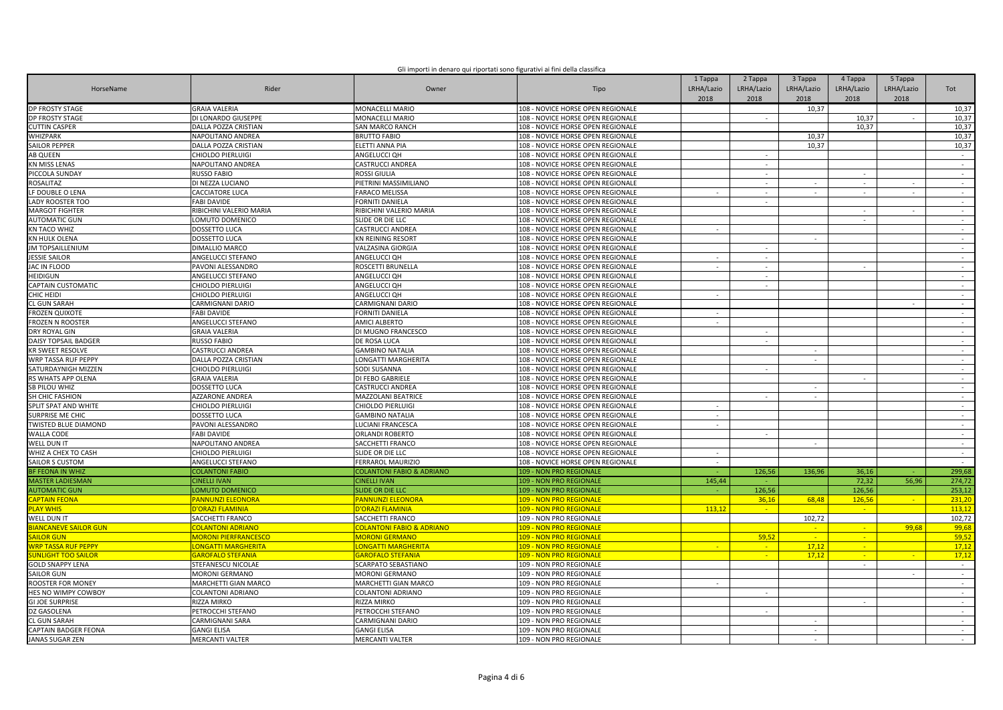|  | Gli importi in denaro qui riportati sono figurativi ai fini della classifica |
|--|------------------------------------------------------------------------------|
|  |                                                                              |
|  |                                                                              |

| HorseName                           | Rider                                 | Owner                                  | Tipo                                               | 1 Tappa<br>LRHA/Lazio<br>2018 | 2 Tappa<br>LRHA/Lazio<br>2018 | 3 Tappa<br>LRHA/Lazio<br>2018 | 4 Tappa<br>LRHA/Lazio<br>2018 | 5 Tappa<br>LRHA/Lazio<br>2018 | Tot              |
|-------------------------------------|---------------------------------------|----------------------------------------|----------------------------------------------------|-------------------------------|-------------------------------|-------------------------------|-------------------------------|-------------------------------|------------------|
| <b>DP FROSTY STAGE</b>              | <b>GRAIA VALERIA</b>                  | MONACELLI MARIO                        | 108 - NOVICE HORSE OPEN REGIONALE                  |                               |                               | 10,37                         |                               |                               | 10,37            |
| <b>DP FROSTY STAGE</b>              | DI LONARDO GIUSEPPE                   | MONACELLI MARIO                        | 108 - NOVICE HORSE OPEN REGIONALE                  |                               |                               |                               | 10,37                         |                               | 10,37            |
| <b>CUTTIN CASPER</b>                | DALLA POZZA CRISTIAN                  | SAN MARCO RANCH                        | 108 - NOVICE HORSE OPEN REGIONALE                  |                               |                               |                               | 10.37                         |                               | 10,37            |
| WHIZPARK                            | NAPOLITANO ANDREA                     | <b>BRUTTO FABIO</b>                    | 108 - NOVICE HORSE OPEN REGIONALE                  |                               |                               | 10,37                         |                               |                               | 10,37            |
| <b>SAILOR PEPPER</b>                | DALLA POZZA CRISTIAN                  | ELETTI ANNA PIA                        | 108 - NOVICE HORSE OPEN REGIONALE                  |                               |                               | 10,37                         |                               |                               | 10,37            |
| <b>AB QUEEN</b>                     | CHIOLDO PIERLUIGI                     | ANGELUCCI OH                           | 108 - NOVICE HORSE OPEN REGIONALE                  |                               | $\sim$                        |                               |                               |                               | $\sim$           |
| <b>KN MISS LENAS</b>                | NAPOLITANO ANDREA                     | CASTRUCCI ANDREA                       | 108 - NOVICE HORSE OPEN REGIONALE                  |                               | $\sim$                        |                               |                               |                               | $\sim$           |
| PICCOLA SUNDAY                      | <b>RUSSO FABIO</b>                    | ROSSI GIULIA                           | 108 - NOVICE HORSE OPEN REGIONALE                  |                               | $\overline{\phantom{a}}$      |                               | $\sim$                        |                               | $\sim$           |
| ROSALITAZ                           | DI NEZZA LUCIANO                      | PIETRINI MASSIMILIANO                  | 108 - NOVICE HORSE OPEN REGIONALE                  |                               | $\overline{\phantom{a}}$      |                               | $\sim$                        |                               | $\sim$           |
| LF DOUBLE O LENA                    | CACCIATORE LUCA                       | <b>FARACO MELISSA</b>                  | 108 - NOVICE HORSE OPEN REGIONALE                  | $\sim$                        | $\sim$                        | $\sim$                        | $\sim$                        | $\sim$                        | $\sim$           |
| LADY ROOSTER TOO                    | <b>FABI DAVIDE</b>                    | FORNITI DANIELA                        | 108 - NOVICE HORSE OPEN REGIONALE                  |                               |                               |                               |                               |                               | $\sim$           |
| <b>MARGOT FIGHTER</b>               | RIBICHINI VALERIO MARIA               | RIBICHINI VALERIO MARIA                | 108 - NOVICE HORSE OPEN REGIONALE                  |                               |                               |                               | $\sim$                        | $\sim$                        | $\sim$           |
| <b>AUTOMATIC GUN</b>                | LOMUTO DOMENICO                       | SLIDE OR DIE LLC                       | 108 - NOVICE HORSE OPEN REGIONALE                  |                               |                               |                               | $\sim$                        |                               | $\sim$           |
| <b>KN TACO WHIZ</b>                 | DOSSETTO LUCA                         | CASTRUCCI ANDREA                       | 108 - NOVICE HORSE OPEN REGIONALE                  | $\sim$                        |                               |                               |                               |                               | $\sim$           |
| KN HULK OLENA                       | DOSSETTO LUCA                         | <b>KN REINING RESORT</b>               | 108 - NOVICE HORSE OPEN REGIONALE                  |                               |                               | $\sim$                        |                               |                               | $\sim$           |
| <b>JM TOPSAILLENIUM</b>             | DIMALLIO MARCO                        | VALZASINA GIORGIA                      | 108 - NOVICE HORSE OPEN REGIONALE                  |                               | $\overline{\phantom{a}}$      |                               |                               |                               | $\sim$           |
| <b>JESSIE SAILOR</b>                | ANGELUCCI STEFANO                     | ANGELUCCI OH                           | 108 - NOVICE HORSE OPEN REGIONALE                  | $\sim$                        | $\sim$                        |                               |                               |                               | $\sim$           |
| JAC IN FLOOD                        | PAVONI ALESSANDRO                     | ROSCETTI BRUNELLA                      | 108 - NOVICE HORSE OPEN REGIONALE                  |                               | $\sim$                        |                               |                               |                               | $\sim$           |
| HEIDIGUN                            | ANGELUCCI STEFANO                     | ANGELUCCI QH                           | 108 - NOVICE HORSE OPEN REGIONALE                  |                               | $\sim$                        |                               |                               |                               | $\sim$           |
| CAPTAIN CUSTOMATIC                  | CHIOLDO PIERLUIGI                     | ANGELUCCI QH                           | 108 - NOVICE HORSE OPEN REGIONALE                  |                               | $\sim$                        |                               |                               |                               | $\sim$           |
| CHIC HEIDI                          | CHIOLDO PIERLUIGI                     | ANGELUCCI QH                           | 108 - NOVICE HORSE OPEN REGIONALE                  |                               |                               |                               |                               |                               | $\sim$           |
| CL GUN SARAH                        | CARMIGNANI DARIO                      | CARMIGNANI DARIO                       | 108 - NOVICE HORSE OPEN REGIONALE                  |                               |                               |                               |                               |                               | $\sim$           |
| <b>FROZEN QUIXOTE</b>               | <b>FABI DAVIDE</b>                    | <b>FORNITI DANIELA</b>                 | 108 - NOVICE HORSE OPEN REGIONALE                  | $\sim$                        |                               |                               |                               |                               | $\sim$           |
| <b>FROZEN N ROOSTER</b>             | ANGELUCCI STEFANO                     | <b>AMICI ALBERTO</b>                   | 108 - NOVICE HORSE OPEN REGIONALE                  | $\sim$                        |                               |                               |                               |                               | $\sim$           |
| <b>DRY ROYAL GIN</b>                | <b>GRAIA VALERIA</b>                  | DI MUGNO FRANCESCO                     | 108 - NOVICE HORSE OPEN REGIONALE                  |                               |                               |                               |                               |                               | $\sim$           |
| <b>DAISY TOPSAIL BADGER</b>         | <b>RUSSO FABIO</b>                    | DE ROSA LUCA                           | 108 - NOVICE HORSE OPEN REGIONALE                  |                               | $\sim$                        |                               |                               |                               | $\sim$           |
| <b>KR SWEET RESOLVE</b>             | CASTRUCCI ANDREA                      | <b>GAMBINO NATALIA</b>                 | 108 - NOVICE HORSE OPEN REGIONALE                  |                               |                               |                               |                               |                               | $\sim$           |
| WRP TASSA RUF PEPPY                 | DALLA POZZA CRISTIAN                  | LONGATTI MARGHERITA                    | 108 - NOVICE HORSE OPEN REGIONALE                  |                               |                               | $\sim$                        |                               |                               | $\sim$           |
| SATURDAYNIGH MIZZEN                 | <b>CHIOLDO PIERLUIGI</b>              | SODI SUSANNA                           | 108 - NOVICE HORSE OPEN REGIONALE                  |                               | $\sim$                        |                               |                               |                               | $\sim$           |
| RS WHATS APP OLENA                  | <b>GRAIA VALERIA</b>                  | DI FEBO GABRIELE                       | 108 - NOVICE HORSE OPEN REGIONALE                  |                               |                               |                               | $\sim$                        |                               | $\sim$           |
| SB PILOU WHIZ                       | DOSSETTO LUCA                         | CASTRUCCI ANDREA                       | 108 - NOVICE HORSE OPEN REGIONALE                  |                               |                               | $\sim$                        |                               |                               | $\sim$           |
| SH CHIC FASHION                     | <b>AZZARONE ANDREA</b>                | <b>MAZZOLANI BEATRICE</b>              | 108 - NOVICE HORSE OPEN REGIONALE                  |                               | $\omega$                      | $\sim$                        |                               |                               | $\sim$           |
| SPLIT SPAT AND WHITE                | <b>CHIOLDO PIERLUIGI</b>              | CHIOLDO PIERLUIGI                      | 108 - NOVICE HORSE OPEN REGIONALE                  | $\sim$                        |                               |                               |                               |                               | $\sim$           |
| SURPRISE ME CHIC                    | DOSSETTO LUCA                         | <b>GAMBINO NATALIA</b>                 | 108 - NOVICE HORSE OPEN REGIONALE                  |                               |                               |                               |                               |                               | $\sim$           |
| TWISTED BLUE DIAMOND                | PAVONI ALESSANDRO                     | LUCIANI FRANCESCA                      | 108 - NOVICE HORSE OPEN REGIONALE                  | $\sim$                        |                               |                               |                               |                               | $\sim$           |
| <b>WALLA CODE</b>                   | <b>FABI DAVIDE</b>                    | ORLANDI ROBERTO                        | 108 - NOVICE HORSE OPEN REGIONALE                  |                               | $\sim$                        |                               |                               |                               | $\sim$           |
| WELL DUN IT                         | NAPOLITANO ANDREA                     | SACCHETTI FRANCO                       | 108 - NOVICE HORSE OPEN REGIONALE                  |                               |                               | $\sim$                        |                               |                               | $\sim$           |
| WHIZ A CHEX TO CASH                 | CHIOLDO PIERLUIGI                     | SLIDE OR DIE LLC                       | 108 - NOVICE HORSE OPEN REGIONALE                  | $\sim$                        |                               |                               |                               |                               | $\sim$           |
| SAILOR S CUSTOM                     | ANGELUCCI STEFANO                     | FERRAROL MAURIZIO                      | 108 - NOVICE HORSE OPEN REGIONALE                  | $\sim$                        |                               |                               |                               |                               | $\sim$           |
| <b>BF FEONA IN WHIZ</b>             | <b>COLANTONI FABIO</b>                | <b>COLANTONI FABIO &amp; ADRIANO</b>   | 109 - NON PRO REGIONALE                            |                               | 126,56                        | 136.96                        | 36,16                         |                               | 299,68           |
| <b>MASTER LADIESMAN</b>             | <b>CINELLI IVAN</b>                   | <b>CINELLI IVAN</b>                    | 109 - NON PRO REGIONALE                            | 145,44                        |                               |                               | 72,32                         | 56,96                         | 274,72           |
| <b>AUTOMATIC GUN</b>                | LOMUTO DOMENICO                       | <b>SLIDE OR DIE LLC</b>                | 109 - NON PRO REGIONALE                            |                               | 126,56                        |                               | 126,56                        |                               | 253,12           |
| <b>APTAIN FEONA</b>                 | <b>PANNUNZI ELEONORA</b>              | <b>PANNUNZI ELEONORA</b>               | <b>109 - NON PRO REGIONALE</b>                     |                               | 36,16                         | 68.48                         | 126,56                        | <b>Ca</b>                     | 231.20           |
| <b>LAY WHIS</b>                     | D'ORAZI FLAMINIA                      | D'ORAZI FLAMINIA                       | 109 - NON PRO REGIONALE                            | 113.12                        | <b>SALE</b>                   |                               | $\sim$                        |                               | 113.12           |
| WELL DUN IT                         | SACCHETTI FRANCO                      | SACCHETTI FRANCO                       | 109 - NON PRO REGIONALE                            |                               |                               | 102,72                        |                               |                               | 102,72           |
| <b>BIANCANEVE SAILOR GUN</b>        | <b>COLANTONI ADRIANO</b>              | <b>COLANTONI FABIO &amp; ADRIANO</b>   | 109 - NON PRO REGIONALE                            |                               |                               | $\sim$                        | $\sim$                        | 99,68                         | 99,68            |
| <b>AILOR GUN</b>                    | <b>MORONI PIERFRANCESCO</b>           | <b>MORONI GERMANO</b>                  | 109 - NON PRO REGIONALE                            |                               | 59,52                         | -41                           | <b>COL</b>                    |                               | 59,52            |
| <mark>NRP TASSA RUF PEPPY</mark>    | <mark>.ONGATTI MARGHERITA</mark>      | <b>ONGATTI MARGHERITA</b>              | 09 - NON PRO REGIONALE                             | $\sim$                        |                               | 17,12                         | $\sim$                        |                               | 17,12            |
| UNLIGHT TOO SAILOR                  | <b>GAROFALO STEFANIA</b>              | <b>GAROFALO STEFANIA</b>               | 109 - NON PRO REGIONALE                            |                               | $\sim$<br>$\sim$              | 17,12                         | $\sim$                        |                               |                  |
| <b>GOLD SNAPPY LENA</b>             | STEFANESCU NICOLAE                    | SCARPATO SEBASTIANO                    | 109 - NON PRO REGIONALE                            |                               |                               |                               | $\sim$                        |                               | 17,12<br>$\sim$  |
| SAILOR GUN                          | <b>MORONI GERMANO</b>                 | <b>MORONI GERMANO</b>                  | 109 - NON PRO REGIONALE                            |                               |                               |                               |                               | $\sim$                        | $\sim$           |
| ROOSTER FOR MONEY                   | MARCHETTI GIAN MARCO                  | MARCHETTI GIAN MARCO                   | 109 - NON PRO REGIONALE                            |                               |                               |                               |                               |                               | $\sim$           |
| HES NO WIMPY COWBOY                 | <b>COLANTONI ADRIANO</b>              | COLANTONI ADRIANO                      | 109 - NON PRO REGIONALE                            |                               | $\overline{\phantom{a}}$      |                               |                               |                               | $\sim$           |
| <b>GI JOE SURPRISE</b>              | RIZZA MIRKO                           | RIZZA MIRKO                            | 109 - NON PRO REGIONALE                            |                               |                               |                               |                               |                               | $\omega$         |
|                                     |                                       |                                        |                                                    |                               |                               |                               |                               |                               |                  |
| DZ GASOLENA                         | PETROCCHI STEFANO                     | PETROCCHI STEFANO                      | 109 - NON PRO REGIONALE                            |                               | $\sim$                        |                               |                               |                               | $\sim$           |
| L GUN SARAH<br>CAPTAIN BADGER FEONA | CARMIGNANI SARA<br><b>GANGI ELISA</b> | CARMIGNANI DARIO<br><b>GANGI ELISA</b> | 109 - NON PRO REGIONALE<br>109 - NON PRO REGIONALE |                               |                               | $\sim$                        |                               |                               | $\sim$<br>$\sim$ |
| <b>JANAS SUGAR ZEN</b>              | <b>MERCANTI VALTER</b>                | <b>MERCANTI VALTER</b>                 | 109 - NON PRO REGIONALE                            |                               |                               | $\sim$                        |                               |                               | $\sim$           |
|                                     |                                       |                                        |                                                    |                               |                               |                               |                               |                               |                  |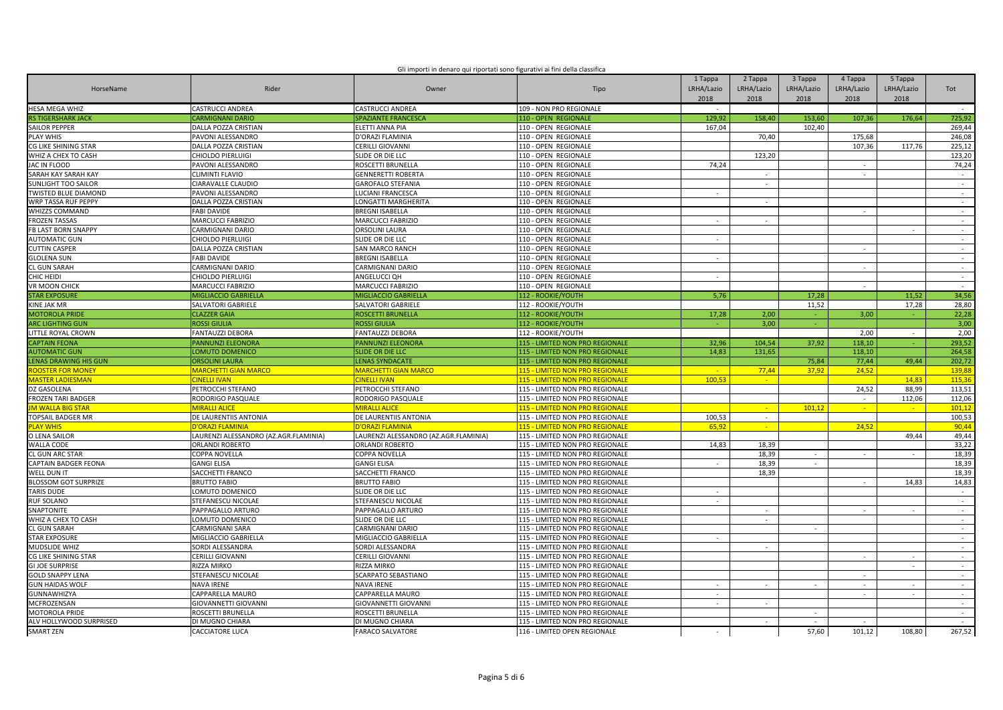| Gli importi in denaro qui riportati sono figurativi ai fini della classifica |  |
|------------------------------------------------------------------------------|--|
|                                                                              |  |
|                                                                              |  |

| HorseName                   | Rider                                 | Owner                                 | Tipo                            | 1 Tappa<br>LRHA/Lazio<br>2018 | 2 Tappa<br>LRHA/Lazio<br>2018 | 3 Tappa<br>LRHA/Lazio<br>2018 | 4 Tappa<br>LRHA/Lazio<br>2018 | 5 Tappa<br>LRHA/Lazio<br>2018 | Tot            |
|-----------------------------|---------------------------------------|---------------------------------------|---------------------------------|-------------------------------|-------------------------------|-------------------------------|-------------------------------|-------------------------------|----------------|
| HESA MEGA WHIZ              | <b>CASTRUCCI ANDREA</b>               | <b>CASTRUCCI ANDREA</b>               | 109 - NON PRO REGIONALE         | $\sim$                        |                               |                               |                               |                               | $\sim$         |
| <b>RS TIGERSHARK JACK</b>   | <b>CARMIGNANI DARIO</b>               | SPAZIANTE FRANCESCA                   | 110 - OPEN REGIONALE            | 129,92                        | 158,40                        | 153,60                        | 107,36                        | 176,64                        | 725,92         |
| <b>SAILOR PEPPER</b>        | DALLA POZZA CRISTIAN                  | ELETTI ANNA PIA                       | 110 - OPEN REGIONALE            | 167.04                        |                               | 102.40                        |                               |                               | 269.44         |
| <b>PLAY WHIS</b>            | PAVONI ALESSANDRO                     | D'ORAZI FLAMINIA                      | 110 - OPEN REGIONALE            |                               | 70,40                         |                               | 175,68                        |                               | 246,08         |
| CG LIKE SHINING STAR        | DALLA POZZA CRISTIAN                  | CERILLI GIOVANNI                      | 110 - OPEN REGIONALE            |                               |                               |                               | 107,36                        | 117,76                        | 225,12         |
| WHIZ A CHEX TO CASH         | CHIOLDO PIERLUIGI                     | SLIDE OR DIE LLC                      | 110 - OPEN REGIONALE            |                               | 123,20                        |                               |                               |                               | 123,20         |
| JAC IN FLOOD                | PAVONI ALESSANDRO                     | ROSCETTI BRUNELLA                     | 110 - OPEN REGIONALE            | 74,24                         |                               |                               | $\sim$                        |                               | 74,24          |
| SARAH KAY SARAH KAY         | CLIMINTI FLAVIO                       | <b>GENNERETTI ROBERTA</b>             | 110 - OPEN REGIONALE            |                               | $\overline{\phantom{a}}$      |                               | $\sim$                        |                               | $\sim$         |
| <b>SUNLIGHT TOO SAILOR</b>  | CIARAVALLE CLAUDIO                    | <b>GAROFALO STEFANIA</b>              | 110 - OPEN REGIONALE            |                               | $\sim$                        |                               |                               |                               | $\sim$         |
| <b>WISTED BLUE DIAMOND</b>  | PAVONI ALESSANDRO                     | LUCIANI FRANCESCA                     | 110 - OPEN REGIONALE            |                               |                               |                               |                               |                               | $\sim$         |
| WRP TASSA RUF PEPPY         | DALLA POZZA CRISTIAN                  | LONGATTI MARGHERITA                   | 110 - OPEN REGIONALE            |                               | $\overline{\phantom{a}}$      |                               |                               |                               | $\sim$         |
| WHIZZS COMMAND              | <b>FABI DAVIDE</b>                    | BREGNI ISABELLA                       | 110 - OPEN REGIONALE            |                               |                               |                               | $\sim$                        |                               | $\sim$         |
| <b>FROZEN TASSAS</b>        | MARCUCCI FABRIZIO                     | MARCUCCI FABRIZIO                     | 110 - OPEN REGIONALE            | $\sim$                        | $\overline{\phantom{a}}$      |                               |                               |                               | $\sim$         |
| FB LAST BORN SNAPPY         | CARMIGNANI DARIO                      | ORSOLINI LAURA                        | 110 - OPEN REGIONALE            |                               |                               |                               |                               |                               | $\sim$         |
| <b>AUTOMATIC GUN</b>        | CHIOLDO PIERLUIGI                     | SLIDE OR DIE LLC                      | 110 - OPEN REGIONALE            | $\sim$                        |                               |                               |                               |                               | $\sim$         |
| <b>CUTTIN CASPER</b>        | DALLA POZZA CRISTIAN                  | SAN MARCO RANCH                       | 110 - OPEN REGIONALE            |                               |                               |                               | ÷                             |                               | $\sim$         |
| <b>GLOLENA SUN</b>          | <b>FABI DAVIDE</b>                    | BREGNI ISABELLA                       | 110 - OPEN REGIONALE            | $\sim$                        |                               |                               |                               |                               | $\sim$         |
| <b>CL GUN SARAH</b>         | CARMIGNANI DARIO                      | CARMIGNANI DARIO                      | 110 - OPEN REGIONALE            |                               |                               |                               | $\sim$                        |                               | $\sim$         |
| HIC HEIDI                   | CHIOLDO PIERLUIGI                     | ANGELUCCI QH                          | 110 - OPEN REGIONALE            | $\sim$                        |                               |                               |                               |                               | $\sim$         |
| VR MOON CHICK               | <b>MARCUCCI FABRIZIO</b>              | MARCUCCI FABRIZIO                     | 110 - OPEN REGIONALE            |                               |                               |                               | $\sim$                        |                               | $\sim$ $-$     |
| <b>TAR EXPOSURE</b>         | <b>MIGLIACCIO GABRIELLA</b>           | MIGLIACCIO GABRIELLA                  | 112 - ROOKIE/YOUTH              | 5,76                          |                               | 17,28                         |                               | 11.52                         | 34,56          |
| KINE JAK MR                 | SALVATORI GABRIELE                    | SALVATORI GABRIELE                    | 112 - ROOKIE/YOUTH              |                               |                               | 11,52                         |                               | 17,28                         | 28,80          |
| <b>MOTOROLA PRIDE</b>       | <b>CLAZZER GAIA</b>                   | ROSCETTI BRUNELLA                     | 112 - ROOKIE/YOUTH              | 17,28                         | 2,00                          | $\sim$                        | 3,00                          |                               | 22,28          |
| <b>ARC LIGHTING GUN</b>     | <b>ROSSI GIULIA</b>                   | ROSSI GIULIA                          | 112 - ROOKIE/YOUTH              |                               | 3,00                          | a.                            |                               |                               | 3,00           |
| LITTLE ROYAL CROWN          | FANTAUZZI DEBORA                      | FANTAUZZI DEBORA                      | 112 - ROOKIE/YOUTH              |                               |                               |                               | 2,00                          | $\sim$                        | 2,00           |
| <b>CAPTAIN FEONA</b>        | PANNUNZI ELEONORA                     | PANNUNZI ELEONORA                     | 115 - LIMITED NON PRO REGIONALE | 32,96                         | 104,54                        | 37,92                         | 118,10                        |                               | 293,52         |
| <b>NUTOMATIC GUN</b>        | <b>LOMUTO DOMENICO</b>                | <b>SLIDE OR DIE LLC</b>               | 115 - LIMITED NON PRO REGIONALE | 14,83                         | 131,65                        |                               | 118,10                        |                               | 264,58         |
| <b>ENAS DRAWING HIS GUN</b> | ORSOLINI LAURA                        | <b>LENAS SYNDACATE</b>                | 115 - LIMITED NON PRO REGIONALE |                               |                               | 75,84                         | 77,44                         | 49.44                         | 202,72         |
| <b>OOSTER FOR MONEY</b>     | <b>MARCHETTI GIAN MARCO</b>           | <b>MARCHETTI GIAN MARCO</b>           | 115 - LIMITED NON PRO REGIONALE | $\sim$                        | 77,44                         | 37,92                         | 24,52                         |                               | 139,88         |
| <b>AASTER LADIESMAN</b>     | <b>INELLI IVAN</b>                    | <b>CINELLI IVAN</b>                   | 115 - LIMITED NON PRO REGIONALE | 100,53                        | $\sim$                        |                               |                               | 14,83                         | 115,36         |
| Z GASOLENA                  | PETROCCHI STEFANO                     | PETROCCHI STEFANO                     | 115 - LIMITED NON PRO REGIONALE |                               |                               |                               | 24,52                         | 88,99                         | 113,51         |
| <b>FROZEN TARI BADGER</b>   | RODORIGO PASQUALE                     | RODORIGO PASQUALE                     | 115 - LIMITED NON PRO REGIONALE |                               |                               |                               | $\sim$                        | 112,06                        | 112,06         |
| <b>M WALLA BIG STAR</b>     | <b>MIRALLI ALICE</b>                  | <b>MIRALLI ALICE</b>                  | 115 - LIMITED NON PRO REGIONALE |                               | $\sim$                        | 101,12                        | $\sim$                        | $\sim$                        | 101,12         |
| TOPSAIL BADGER MR           | DE LAURENTIIS ANTONIA                 | DE LAURENTIIS ANTONIA                 | 115 - LIMITED NON PRO REGIONALE | 100,53                        | $\sim$                        |                               |                               |                               | 100,53         |
| <b>LAY WHIS</b>             | <b>ORAZI FLAMINIA</b>                 | <mark>'ORAZI FLAMINIA</mark>          | 115 - LIMITED NON PRO REGIONALE | 65,92                         | $\sim$                        |                               | 24,52                         |                               | 90,44          |
| O LENA SAILOR               | LAURENZI ALESSANDRO (AZ.AGR.FLAMINIA) | LAURENZI ALESSANDRO (AZ.AGR.FLAMINIA) | 115 - LIMITED NON PRO REGIONALE |                               |                               |                               |                               | 49,44                         | 49,44          |
| <b>WALLA CODE</b>           | ORLANDI ROBERTO                       | ORLANDI ROBERTO                       | 115 - LIMITED NON PRO REGIONALE | 14,83                         | 18,39                         |                               |                               |                               | 33,22          |
| <b>CL GUN ARC STAR</b>      | COPPA NOVELLA                         | COPPA NOVELLA                         | 115 - LIMITED NON PRO REGIONALE |                               | 18,39                         | $\sim$                        | $\sim$                        |                               | 18,39          |
| <b>CAPTAIN BADGER FEONA</b> | <b>GANGI ELISA</b>                    | <b>GANGI ELISA</b>                    | 115 - LIMITED NON PRO REGIONALE | $\sim$                        | 18,39                         | $\sim$                        |                               |                               | 18,39          |
| WELL DUN IT                 | SACCHETTI FRANCO                      | SACCHETTI FRANCO                      | 115 - LIMITED NON PRO REGIONALE |                               | 18,39                         |                               |                               |                               | 18,39          |
| <b>ILOSSOM GOT SURPRIZE</b> | <b>BRUTTO FABIO</b>                   | <b>BRUTTO FABIO</b>                   | 115 - LIMITED NON PRO REGIONALE |                               |                               |                               | $\sim$                        | 14,83                         | 14,83          |
| <b>TARIS DUDE</b>           | LOMUTO DOMENICO                       | SLIDE OR DIE LLC                      | 115 - LIMITED NON PRO REGIONALE | $\sim$                        |                               |                               |                               |                               | $\sim 10^{-1}$ |
| <b>RUF SOLANO</b>           | STEFANESCU NICOLAE                    | STEFANESCU NICOLAE                    | 115 - LIMITED NON PRO REGIONALE | $\overline{\phantom{a}}$      |                               |                               |                               |                               | $\sim$         |
| SNAPTONITE                  | PAPPAGALLO ARTURO                     | PAPPAGALLO ARTURO                     | 115 - LIMITED NON PRO REGIONALE |                               | $\sim$                        |                               | $\sim$                        | $\sim$                        | $\sim$         |
| WHIZ A CHEX TO CASH         | LOMUTO DOMENICO                       | SLIDE OR DIE LLC                      | 115 - LIMITED NON PRO REGIONALE |                               | $\omega$                      |                               |                               |                               | $\sim$         |
| <b>CL GUN SARAH</b>         | CARMIGNANI SARA                       | CARMIGNANI DARIO                      | 115 - LIMITED NON PRO REGIONALE |                               |                               | $\sim$                        |                               |                               | $\sim$         |
| <b>STAR EXPOSURE</b>        | MIGLIACCIO GABRIELLA                  | MIGLIACCIO GABRIELLA                  | 115 - LIMITED NON PRO REGIONALE |                               |                               |                               |                               |                               | $\sim$         |
| <b>MUDSLIDE WHIZ</b>        | SORDI ALESSANDRA                      | SORDI ALESSANDRA                      | 115 - LIMITED NON PRO REGIONALE |                               |                               |                               |                               |                               | $\sim$         |
| <b>G LIKE SHINING STAR</b>  | CERILLI GIOVANNI                      | CERILLI GIOVANNI                      | 115 - LIMITED NON PRO REGIONALE |                               |                               |                               | $\overline{\phantom{a}}$      |                               | $\sim$         |
| <b>GI JOE SURPRISE</b>      | RIZZA MIRKO                           | RIZZA MIRKO                           | 115 - LIMITED NON PRO REGIONALE |                               |                               |                               |                               | $\sim$                        | $\sim$         |
| <b>GOLD SNAPPY LENA</b>     | STEFANESCU NICOLAE                    | SCARPATO SEBASTIANO                   | 115 - LIMITED NON PRO REGIONALE |                               |                               |                               |                               |                               | $\sim$         |
| <b>GUN HAIDAS WOLF</b>      | <b>NAVA IRENE</b>                     | NAVA IRENE                            | 115 - LIMITED NON PRO REGIONALE | $\sim$                        | $\overline{\phantom{a}}$      | $\sim$                        | $\sim$                        | $\sim$                        | $\sim$         |
| GUNNAWHIZYA                 | CAPPARELLA MAURO                      | CAPPARELLA MAURO                      | 115 - LIMITED NON PRO REGIONALE |                               |                               |                               |                               |                               | ÷.             |
| MCFROZENSAN                 | GIOVANNETTI GIOVANNI                  | GIOVANNETTI GIOVANNI                  | 115 - LIMITED NON PRO REGIONALE | $\sim$                        | $\sim$                        |                               |                               |                               | $\sim$         |
| <b>MOTOROLA PRIDE</b>       | ROSCETTI BRUNELLA                     | ROSCETTI BRUNELLA                     | 115 - LIMITED NON PRO REGIONALE |                               |                               |                               |                               |                               | $\sim$         |
| ALV HOLLYWOOD SURPRISED     | DI MUGNO CHIARA                       | DI MUGNO CHIARA                       | 115 - LIMITED NON PRO REGIONALE |                               |                               | $\sim$                        |                               |                               | $\sim$         |
| <b>SMART ZEN</b>            | <b>CACCIATORE LUCA</b>                | <b>FARACO SALVATORE</b>               | 116 - LIMITED OPEN REGIONALE    |                               |                               | 57,60                         | 101,12                        | 108.80                        | 267,52         |
|                             |                                       |                                       |                                 |                               |                               |                               |                               |                               |                |